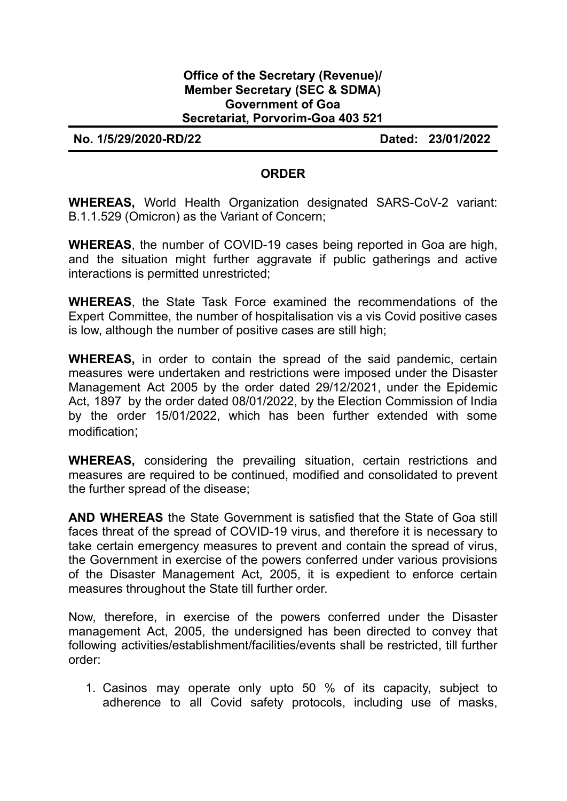## **Office of the Secretary (Revenue)/ Member Secretary (SEC & SDMA) Government of Goa Secretariat, Porvorim-Goa 403 521**

**No. 1/5/29/2020-RD/22 Dated: 23/01/2022**

## **ORDER**

**WHEREAS,** World Health Organization designated SARS-CoV-2 variant: B.1.1.529 (Omicron) as the Variant of Concern;

**WHEREAS**, the number of COVID-19 cases being reported in Goa are high, and the situation might further aggravate if public gatherings and active interactions is permitted unrestricted;

**WHEREAS**, the State Task Force examined the recommendations of the Expert Committee, the number of hospitalisation vis a vis Covid positive cases is low, although the number of positive cases are still high;

**WHEREAS,** in order to contain the spread of the said pandemic, certain measures were undertaken and restrictions were imposed under the Disaster Management Act 2005 by the order dated 29/12/2021, under the Epidemic Act, 1897 by the order dated 08/01/2022, by the Election Commission of India by the order 15/01/2022, which has been further extended with some modification;

**WHEREAS,** considering the prevailing situation, certain restrictions and measures are required to be continued, modified and consolidated to prevent the further spread of the disease;

**AND WHEREAS** the State Government is satisfied that the State of Goa still faces threat of the spread of COVID-19 virus, and therefore it is necessary to take certain emergency measures to prevent and contain the spread of virus, the Government in exercise of the powers conferred under various provisions of the Disaster Management Act, 2005, it is expedient to enforce certain measures throughout the State till further order.

Now, therefore, in exercise of the powers conferred under the Disaster management Act, 2005, the undersigned has been directed to convey that following activities/establishment/facilities/events shall be restricted, till further order:

1. Casinos may operate only upto 50 % of its capacity, subject to adherence to all Covid safety protocols, including use of masks,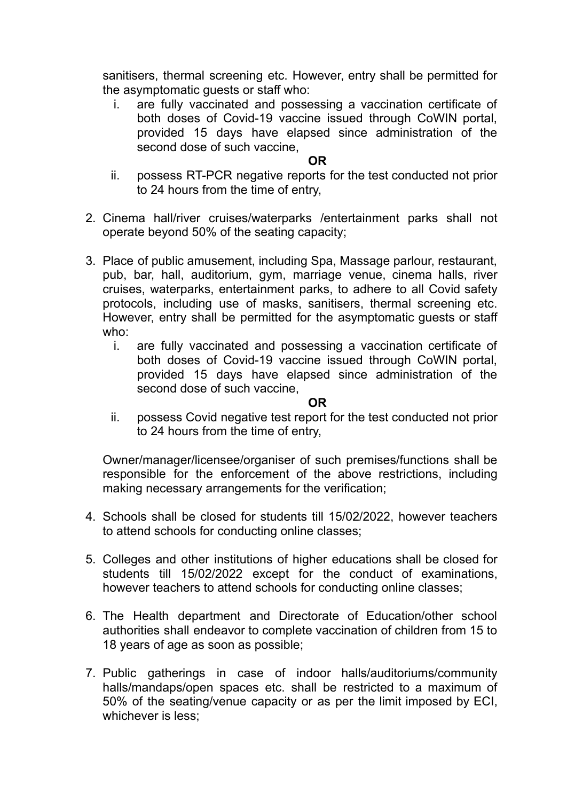sanitisers, thermal screening etc. However, entry shall be permitted for the asymptomatic guests or staff who:

i. are fully vaccinated and possessing a vaccination certificate of both doses of Covid-19 vaccine issued through CoWIN portal, provided 15 days have elapsed since administration of the second dose of such vaccine,

## **OR**

- ii. possess RT-PCR negative reports for the test conducted not prior to 24 hours from the time of entry,
- 2. Cinema hall/river cruises/waterparks /entertainment parks shall not operate beyond 50% of the seating capacity;
- 3. Place of public amusement, including Spa, Massage parlour, restaurant, pub, bar, hall, auditorium, gym, marriage venue, cinema halls, river cruises, waterparks, entertainment parks, to adhere to all Covid safety protocols, including use of masks, sanitisers, thermal screening etc. However, entry shall be permitted for the asymptomatic guests or staff who:
	- i. are fully vaccinated and possessing a vaccination certificate of both doses of Covid-19 vaccine issued through CoWIN portal, provided 15 days have elapsed since administration of the second dose of such vaccine,

**OR**

ii. possess Covid negative test report for the test conducted not prior to 24 hours from the time of entry,

Owner/manager/licensee/organiser of such premises/functions shall be responsible for the enforcement of the above restrictions, including making necessary arrangements for the verification;

- 4. Schools shall be closed for students till 15/02/2022, however teachers to attend schools for conducting online classes;
- 5. Colleges and other institutions of higher educations shall be closed for students till 15/02/2022 except for the conduct of examinations, however teachers to attend schools for conducting online classes;
- 6. The Health department and Directorate of Education/other school authorities shall endeavor to complete vaccination of children from 15 to 18 years of age as soon as possible;
- 7. Public gatherings in case of indoor halls/auditoriums/community halls/mandaps/open spaces etc. shall be restricted to a maximum of 50% of the seating/venue capacity or as per the limit imposed by ECI, whichever is less: